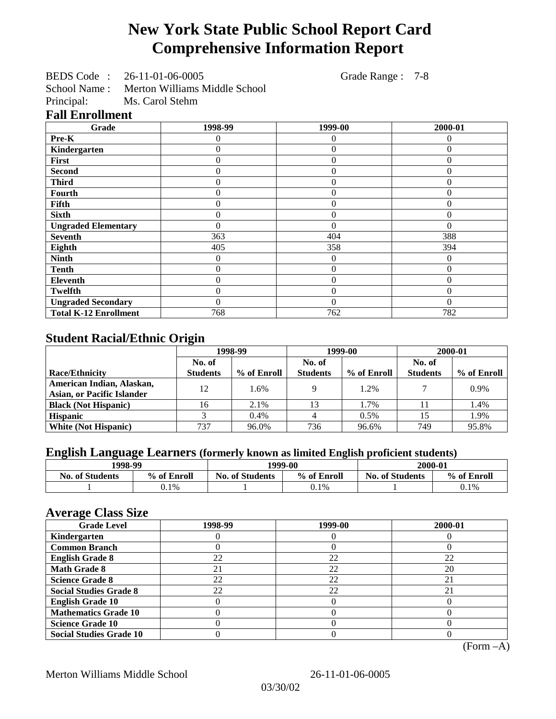# **New York State Public School Report Card Comprehensive Information Report**

BEDS Code : 26-11-01-06-0005 Grade Range : 7-8

School Name : Merton Williams Middle School Principal: Ms. Carol Stehm

## **Fall Enrollment**

| Grade                        | 1998-99  | 1999-00          | 2000-01  |
|------------------------------|----------|------------------|----------|
| Pre-K                        | 0        | 0                | 0        |
| Kindergarten                 | 0        | $\theta$         | 0        |
| First                        | 0        | $\overline{0}$   | $\theta$ |
| <b>Second</b>                | 0        | $\theta$         | $\theta$ |
| <b>Third</b>                 | 0        | $\Omega$         | $\Omega$ |
| Fourth                       | 0        | $\theta$         | $\theta$ |
| Fifth                        | 0        | $\overline{0}$   | 0        |
| <b>Sixth</b>                 | 0        | $\theta$         | $\theta$ |
| <b>Ungraded Elementary</b>   | 0        | $\Omega$         | $\Omega$ |
| <b>Seventh</b>               | 363      | 404              | 388      |
| Eighth                       | 405      | 358              | 394      |
| <b>Ninth</b>                 | 0        | $\theta$         | $\Omega$ |
| <b>Tenth</b>                 | 0        | $\overline{0}$   | $\Omega$ |
| Eleventh                     | 0        | $\overline{0}$   | $\theta$ |
| <b>Twelfth</b>               | 0        | $\boldsymbol{0}$ | $\Omega$ |
| <b>Ungraded Secondary</b>    | $\theta$ | $\Omega$         | $\Omega$ |
| <b>Total K-12 Enrollment</b> | 768      | 762              | 782      |

## **Student Racial/Ethnic Origin**

|                                   | 1998-99         |             |                 | 1999-00     | 2000-01         |             |
|-----------------------------------|-----------------|-------------|-----------------|-------------|-----------------|-------------|
|                                   | No. of          |             | No. of          |             | No. of          |             |
| <b>Race/Ethnicity</b>             | <b>Students</b> | % of Enroll | <b>Students</b> | % of Enroll | <b>Students</b> | % of Enroll |
| American Indian, Alaskan,         | 12              | 1.6%        |                 | 1.2%        |                 | 0.9%        |
| <b>Asian, or Pacific Islander</b> |                 |             |                 |             |                 |             |
| <b>Black (Not Hispanic)</b>       | 16              | 2.1%        | 13              | 1.7%        |                 | 1.4%        |
| <b>Hispanic</b>                   |                 | 0.4%        |                 | 0.5%        | 15              | 1.9%        |
| <b>White (Not Hispanic)</b>       | 737             | 96.0%       | 736             | 96.6%       | 749             | 95.8%       |

## **English Language Learners (formerly known as limited English proficient students)**

|                        | 1998-99     |                        | 1999-00     | 2000-01                |             |  |
|------------------------|-------------|------------------------|-------------|------------------------|-------------|--|
| <b>No. of Students</b> | % of Enroll | <b>No. of Students</b> | % of Enroll | <b>No. of Students</b> | % of Enroll |  |
|                        | $0.1\%$     |                        | 0.1%        |                        | 0.1%        |  |

### **Average Class Size**

| ------<br><b>Grade Level</b>   | 1998-99 | 1999-00 | 2000-01 |
|--------------------------------|---------|---------|---------|
| Kindergarten                   |         |         |         |
| <b>Common Branch</b>           |         |         |         |
| <b>English Grade 8</b>         | 22      | 22      | 22      |
| <b>Math Grade 8</b>            | 21      | 22      | 20      |
| <b>Science Grade 8</b>         | 22      | 22      | 21      |
| <b>Social Studies Grade 8</b>  | 22      | 22      | 21      |
| <b>English Grade 10</b>        |         |         |         |
| <b>Mathematics Grade 10</b>    |         |         |         |
| <b>Science Grade 10</b>        |         |         |         |
| <b>Social Studies Grade 10</b> |         |         |         |

(Form –A)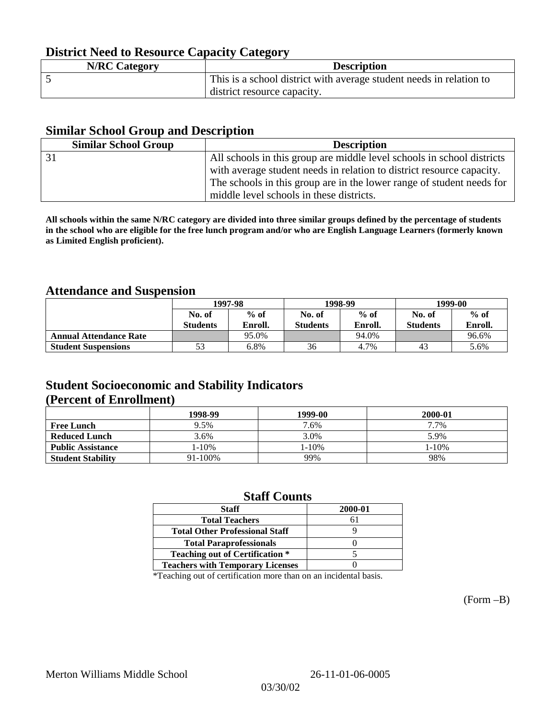## **District Need to Resource Capacity Category**

| <b>N/RC Category</b> | <b>Description</b>                                                  |
|----------------------|---------------------------------------------------------------------|
|                      | This is a school district with average student needs in relation to |
|                      | district resource capacity.                                         |

### **Similar School Group and Description**

| <b>Similar School Group</b> | <b>Description</b>                                                     |
|-----------------------------|------------------------------------------------------------------------|
|                             | All schools in this group are middle level schools in school districts |
|                             | with average student needs in relation to district resource capacity.  |
|                             | The schools in this group are in the lower range of student needs for  |
|                             | middle level schools in these districts.                               |

**All schools within the same N/RC category are divided into three similar groups defined by the percentage of students in the school who are eligible for the free lunch program and/or who are English Language Learners (formerly known as Limited English proficient).**

## **Attendance and Suspension**

|                               |                 | 1997-98 |                 | 1998-99 | 1999-00         |         |
|-------------------------------|-----------------|---------|-----------------|---------|-----------------|---------|
|                               | No. of          | $%$ of  |                 | $%$ of  | No. of          | $%$ of  |
|                               | <b>Students</b> | Enroll. | <b>Students</b> | Enroll. | <b>Students</b> | Enroll. |
| <b>Annual Attendance Rate</b> |                 | 95.0%   |                 | 94.0%   |                 | 96.6%   |
| <b>Student Suspensions</b>    |                 | 6.8%    | 36              | 4.7%    | 43              | 5.6%    |

## **Student Socioeconomic and Stability Indicators (Percent of Enrollment)**

|                          | 1998-99 | 1999-00 | 2000-01 |
|--------------------------|---------|---------|---------|
| <b>Free Lunch</b>        | 9.5%    | 7.6%    | 7.7%    |
| <b>Reduced Lunch</b>     | 3.6%    | 3.0%    | 5.9%    |
| <b>Public Assistance</b> | 1-10%   | 1-10%   | 1-10%   |
| <b>Student Stability</b> | 91-100% | 99%     | 98%     |

### **Staff Counts**

| <b>Staff</b>                            | 2000-01 |
|-----------------------------------------|---------|
| <b>Total Teachers</b>                   | 61      |
| <b>Total Other Professional Staff</b>   |         |
| <b>Total Paraprofessionals</b>          |         |
| <b>Teaching out of Certification *</b>  |         |
| <b>Teachers with Temporary Licenses</b> |         |

\*Teaching out of certification more than on an incidental basis.

(Form –B)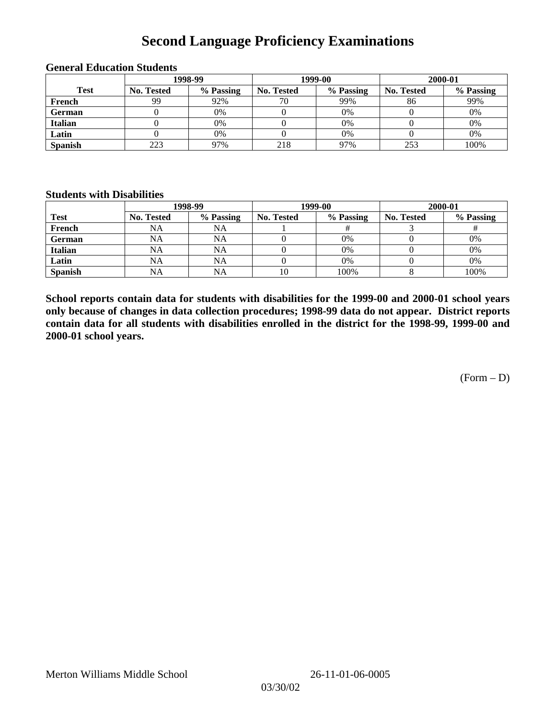## **Second Language Proficiency Examinations**

|                |            | 1998-99   |                   | 1999-00   | 2000-01    |           |  |
|----------------|------------|-----------|-------------------|-----------|------------|-----------|--|
| <b>Test</b>    | No. Tested | % Passing | <b>No. Tested</b> | % Passing | No. Tested | % Passing |  |
| French         | 99         | 92%       | 70                | 99%       | 86         | 99%       |  |
| <b>German</b>  |            | 0%        |                   | 0%        |            | 0%        |  |
| <b>Italian</b> |            | 0%        |                   | 0%        |            | 0%        |  |
| Latin          |            | 0%        |                   | 0%        |            | 0%        |  |
| <b>Spanish</b> | 223        | 97%       | 218               | 97%       | 253        | 100%      |  |

#### **General Education Students**

### **Students with Disabilities**

|                | 1998-99    |           |                   | 1999-00   | 2000-01           |           |  |
|----------------|------------|-----------|-------------------|-----------|-------------------|-----------|--|
| <b>Test</b>    | No. Tested | % Passing | <b>No. Tested</b> | % Passing | <b>No. Tested</b> | % Passing |  |
| French         | NA         | NA        |                   |           |                   |           |  |
| <b>German</b>  | NA         | NA        |                   | 0%        |                   | 0%        |  |
| <b>Italian</b> | <b>NA</b>  | NA        |                   | 0%        |                   | 0%        |  |
| Latin          | NA         | <b>NA</b> |                   | 0%        |                   | 0%        |  |
| <b>Spanish</b> | <b>NA</b>  | NA        | 10                | 100%      |                   | 100%      |  |

**School reports contain data for students with disabilities for the 1999-00 and 2000-01 school years only because of changes in data collection procedures; 1998-99 data do not appear. District reports contain data for all students with disabilities enrolled in the district for the 1998-99, 1999-00 and 2000-01 school years.**

(Form – D)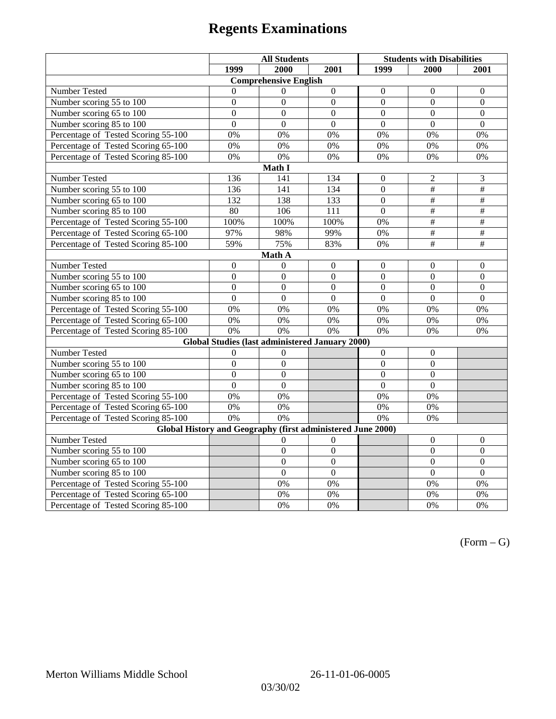# **Regents Examinations**

|                                                                            | <b>All Students</b> |                                                        |                  | <b>Students with Disabilities</b> |                  |                          |  |  |  |
|----------------------------------------------------------------------------|---------------------|--------------------------------------------------------|------------------|-----------------------------------|------------------|--------------------------|--|--|--|
|                                                                            | 1999                | 2000                                                   | 2001             | 1999                              | 2000             | 2001                     |  |  |  |
|                                                                            |                     | <b>Comprehensive English</b>                           |                  |                                   |                  |                          |  |  |  |
| Number Tested                                                              | $\theta$            | $\Omega$                                               | $\boldsymbol{0}$ | $\boldsymbol{0}$                  | $\mathbf{0}$     | $\mathbf{0}$             |  |  |  |
| Number scoring 55 to 100                                                   | $\boldsymbol{0}$    | $\boldsymbol{0}$                                       | $\Omega$         | $\Omega$                          | $\Omega$         | $\boldsymbol{0}$         |  |  |  |
| Number scoring 65 to 100                                                   | $\overline{0}$      | $\overline{0}$                                         | $\overline{0}$   | $\mathbf{0}$                      | $\mathbf{0}$     | $\mathbf{0}$             |  |  |  |
| Number scoring 85 to 100                                                   | $\overline{0}$      | $\overline{0}$                                         | $\overline{0}$   | $\overline{0}$                    | $\overline{0}$   | $\overline{0}$           |  |  |  |
| Percentage of Tested Scoring 55-100                                        | 0%                  | 0%                                                     | 0%               | 0%                                | 0%               | 0%                       |  |  |  |
| Percentage of Tested Scoring 65-100                                        | 0%                  | 0%                                                     | 0%               | 0%                                | 0%               | 0%                       |  |  |  |
| Percentage of Tested Scoring 85-100                                        | 0%                  | 0%                                                     | 0%               | 0%                                | 0%               | 0%                       |  |  |  |
|                                                                            |                     | Math I                                                 |                  |                                   |                  |                          |  |  |  |
| Number Tested<br>136<br>141<br>134<br>$\mathfrak 2$<br>3<br>$\overline{0}$ |                     |                                                        |                  |                                   |                  |                          |  |  |  |
| Number scoring 55 to 100                                                   | 136                 | 141                                                    | 134              | $\overline{0}$                    | $\#$             | $\#$                     |  |  |  |
| Number scoring 65 to 100                                                   | 132                 | 138                                                    | 133              | $\theta$                          | #                | #                        |  |  |  |
| Number scoring 85 to 100                                                   | 80                  | 106                                                    | 111              | $\overline{0}$                    | $\overline{\#}$  | $\overline{\#}$          |  |  |  |
| Percentage of Tested Scoring 55-100                                        | 100%                | 100%                                                   | 100%             | 0%                                | #                | #                        |  |  |  |
| Percentage of Tested Scoring 65-100                                        | 97%                 | 98%                                                    | 99%              | 0%                                | $\overline{\#}$  | $\overline{\overline{}}$ |  |  |  |
| Percentage of Tested Scoring 85-100                                        | 59%                 | 75%                                                    | 83%              | 0%                                | #                | $\#$                     |  |  |  |
|                                                                            |                     | Math A                                                 |                  |                                   |                  |                          |  |  |  |
| Number Tested                                                              | $\boldsymbol{0}$    | $\mathbf{0}$                                           | $\boldsymbol{0}$ | $\mathbf{0}$                      | $\boldsymbol{0}$ | $\boldsymbol{0}$         |  |  |  |
| Number scoring 55 to 100                                                   | $\mathbf{0}$        | $\mathbf{0}$                                           | $\overline{0}$   | $\overline{0}$                    | $\overline{0}$   | $\mathbf{0}$             |  |  |  |
| Number scoring 65 to 100                                                   | $\overline{0}$      | $\overline{0}$                                         | $\overline{0}$   | $\mathbf{0}$                      | $\mathbf{0}$     | $\mathbf{0}$             |  |  |  |
| Number scoring 85 to 100                                                   | $\theta$            | $\theta$                                               | $\Omega$         | $\theta$                          | $\Omega$         | $\Omega$                 |  |  |  |
| Percentage of Tested Scoring 55-100                                        | 0%                  | 0%                                                     | 0%               | 0%                                | 0%               | 0%                       |  |  |  |
| Percentage of Tested Scoring 65-100                                        | 0%                  | 0%                                                     | 0%               | 0%                                | 0%               | 0%                       |  |  |  |
| Percentage of Tested Scoring 85-100                                        | 0%                  | 0%                                                     | 0%               | 0%                                | 0%               | 0%                       |  |  |  |
|                                                                            |                     | <b>Global Studies (last administered January 2000)</b> |                  |                                   |                  |                          |  |  |  |
| Number Tested                                                              | $\mathbf{0}$        | $\theta$                                               |                  | $\overline{0}$                    | $\mathbf{0}$     |                          |  |  |  |
| Number scoring 55 to 100                                                   | $\mathbf{0}$        | $\mathbf{0}$                                           |                  | $\overline{0}$                    | $\overline{0}$   |                          |  |  |  |
| Number scoring 65 to 100                                                   | $\overline{0}$      | $\overline{0}$                                         |                  | $\overline{0}$                    | $\mathbf{0}$     |                          |  |  |  |
| Number scoring 85 to 100                                                   | $\overline{0}$      | $\overline{0}$                                         |                  | $\overline{0}$                    | $\overline{0}$   |                          |  |  |  |
| Percentage of Tested Scoring 55-100                                        | 0%                  | 0%                                                     |                  | 0%                                | 0%               |                          |  |  |  |
| Percentage of Tested Scoring 65-100                                        | 0%                  | 0%                                                     |                  | 0%                                | 0%               |                          |  |  |  |
| Percentage of Tested Scoring 85-100                                        | 0%                  | 0%                                                     |                  | 0%                                | 0%               |                          |  |  |  |
| Global History and Geography (first administered June 2000)                |                     |                                                        |                  |                                   |                  |                          |  |  |  |
| Number Tested                                                              |                     | $\theta$                                               | $\Omega$         |                                   | $\mathbf{0}$     | $\mathbf{0}$             |  |  |  |
| Number scoring 55 to 100                                                   |                     | $\boldsymbol{0}$                                       | $\boldsymbol{0}$ |                                   | $\boldsymbol{0}$ | $\boldsymbol{0}$         |  |  |  |
| Number scoring 65 to 100                                                   |                     | $\overline{0}$                                         | $\overline{0}$   |                                   | $\overline{0}$   | $\mathbf{0}$             |  |  |  |
| Number scoring 85 to 100                                                   |                     | $\overline{0}$                                         | $\overline{0}$   |                                   | $\overline{0}$   | $\overline{0}$           |  |  |  |
| Percentage of Tested Scoring 55-100                                        |                     | 0%                                                     | 0%               |                                   | 0%               | 0%                       |  |  |  |
| Percentage of Tested Scoring 65-100                                        |                     | 0%                                                     | 0%               |                                   | 0%               | 0%                       |  |  |  |
| Percentage of Tested Scoring 85-100                                        |                     | 0%                                                     | 0%               |                                   | 0%               | 0%                       |  |  |  |

 $(Form - G)$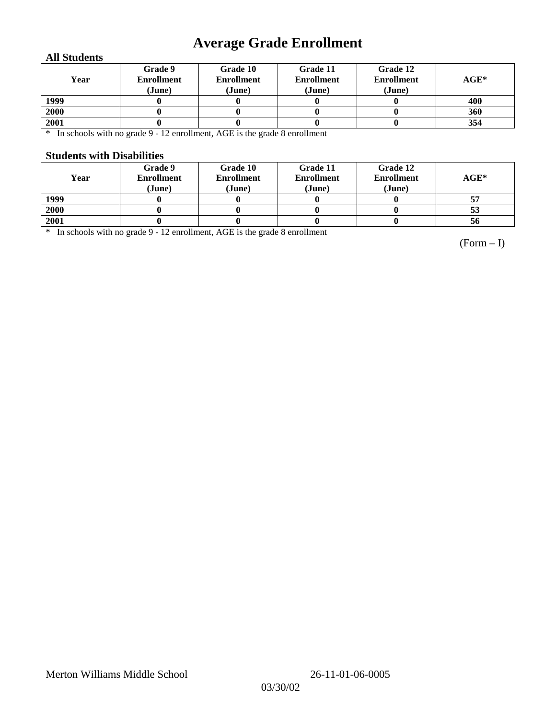## **Average Grade Enrollment**

### **All Students**

| Year | Grade 9<br><b>Enrollment</b><br>(June) | Grade 10<br><b>Enrollment</b><br>(June) | Grade 11<br><b>Enrollment</b><br>(June) | Grade 12<br><b>Enrollment</b><br>(June) | $AGE^*$ |
|------|----------------------------------------|-----------------------------------------|-----------------------------------------|-----------------------------------------|---------|
| 1999 |                                        |                                         |                                         |                                         | 400     |
| 2000 |                                        |                                         |                                         |                                         | 360     |
| 2001 |                                        |                                         |                                         |                                         | 354     |

\* In schools with no grade 9 - 12 enrollment, AGE is the grade 8 enrollment

### **Students with Disabilities**

| Year | Grade 9<br><b>Enrollment</b><br>(June) | Grade 10<br><b>Enrollment</b><br>(June) | Grade 11<br><b>Enrollment</b><br>(June) | Grade 12<br><b>Enrollment</b><br>(June) | $AGE^*$ |
|------|----------------------------------------|-----------------------------------------|-----------------------------------------|-----------------------------------------|---------|
| 1999 |                                        |                                         |                                         |                                         |         |
| 2000 |                                        |                                         |                                         |                                         | 53      |
| 2001 |                                        |                                         |                                         |                                         | 56      |

\* In schools with no grade 9 - 12 enrollment, AGE is the grade 8 enrollment

(Form – I)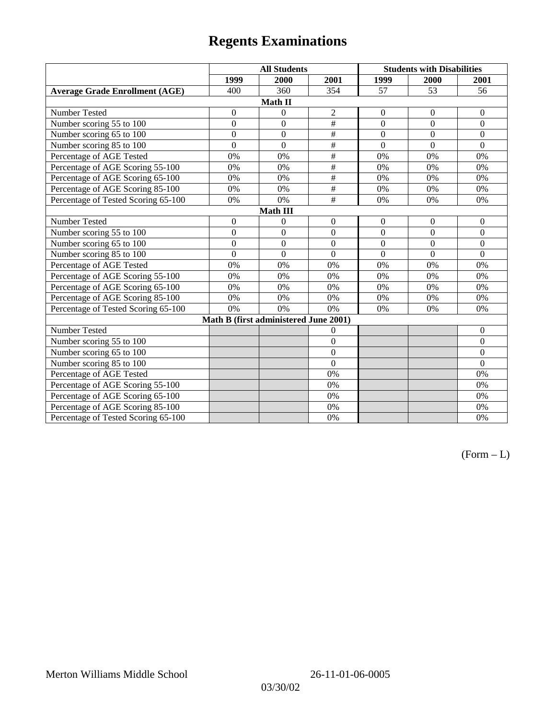# **Regents Examinations**

|                                       | <b>All Students</b> |                  |                 | <b>Students with Disabilities</b> |                  |                  |  |  |
|---------------------------------------|---------------------|------------------|-----------------|-----------------------------------|------------------|------------------|--|--|
|                                       | 1999                | 2000             | 2001            | 1999                              | 2000             | 2001             |  |  |
| <b>Average Grade Enrollment (AGE)</b> | 400                 | 360              | 354             | 57                                | 53               | 56               |  |  |
| Math II                               |                     |                  |                 |                                   |                  |                  |  |  |
| Number Tested                         | $\boldsymbol{0}$    | $\boldsymbol{0}$ | $\overline{2}$  | $\boldsymbol{0}$                  | $\boldsymbol{0}$ | $\boldsymbol{0}$ |  |  |
| Number scoring 55 to 100              | $\mathbf{0}$        | $\overline{0}$   | $\#$            | $\overline{0}$                    | $\overline{0}$   | $\mathbf{0}$     |  |  |
| Number scoring 65 to 100              | $\boldsymbol{0}$    | $\overline{0}$   | $\#$            | $\overline{0}$                    | $\mathbf{0}$     | $\mathbf{0}$     |  |  |
| Number scoring 85 to 100              | $\overline{0}$      | $\overline{0}$   | $\overline{\#}$ | $\overline{0}$                    | $\mathbf{0}$     | $\mathbf{0}$     |  |  |
| Percentage of AGE Tested              | 0%                  | 0%               | $\#$            | 0%                                | 0%               | 0%               |  |  |
| Percentage of AGE Scoring 55-100      | 0%                  | 0%               | $\#$            | $0\%$                             | 0%               | 0%               |  |  |
| Percentage of AGE Scoring 65-100      | 0%                  | 0%               | $\#$            | 0%                                | 0%               | 0%               |  |  |
| Percentage of AGE Scoring 85-100      | 0%                  | 0%               | $\#$            | 0%                                | 0%               | $0\%$            |  |  |
| Percentage of Tested Scoring 65-100   | 0%                  | 0%               | $\#$            | 0%                                | 0%               | $0\%$            |  |  |
| Math III                              |                     |                  |                 |                                   |                  |                  |  |  |
| Number Tested                         | $\boldsymbol{0}$    | $\boldsymbol{0}$ | $\mathbf{0}$    | $\boldsymbol{0}$                  | $\mathbf{0}$     | $\mathbf{0}$     |  |  |
| Number scoring 55 to 100              | $\boldsymbol{0}$    | $\boldsymbol{0}$ | $\overline{0}$  | $\mathbf{0}$                      | $\mathbf{0}$     | $\boldsymbol{0}$ |  |  |
| Number scoring 65 to 100              | $\boldsymbol{0}$    | $\boldsymbol{0}$ | $\Omega$        | $\theta$                          | $\Omega$         | $\mathbf{0}$     |  |  |
| Number scoring 85 to 100              | $\mathbf{0}$        | $\overline{0}$   | $\Omega$        | $\Omega$                          | $\Omega$         | $\mathbf{0}$     |  |  |
| Percentage of AGE Tested              | 0%                  | 0%               | 0%              | 0%                                | 0%               | 0%               |  |  |
| Percentage of AGE Scoring 55-100      | 0%                  | 0%               | 0%              | 0%                                | 0%               | 0%               |  |  |
| Percentage of AGE Scoring 65-100      | 0%                  | 0%               | 0%              | 0%                                | 0%               | 0%               |  |  |
| Percentage of AGE Scoring 85-100      | 0%                  | 0%               | 0%              | 0%                                | 0%               | 0%               |  |  |
| Percentage of Tested Scoring 65-100   | 0%                  | 0%               | 0%              | 0%                                | 0%               | 0%               |  |  |
| Math B (first administered June 2001) |                     |                  |                 |                                   |                  |                  |  |  |
| Number Tested                         |                     |                  | $\overline{0}$  |                                   |                  | $\boldsymbol{0}$ |  |  |
| Number scoring 55 to 100              |                     |                  | $\overline{0}$  |                                   |                  | $\mathbf{0}$     |  |  |
| Number scoring 65 to 100              |                     |                  | $\overline{0}$  |                                   |                  | $\boldsymbol{0}$ |  |  |
| Number scoring 85 to 100              |                     |                  | $\overline{0}$  |                                   |                  | $\mathbf{0}$     |  |  |
| Percentage of AGE Tested              |                     |                  | 0%              |                                   |                  | 0%               |  |  |
| Percentage of AGE Scoring 55-100      |                     |                  | 0%              |                                   |                  | 0%               |  |  |
| Percentage of AGE Scoring 65-100      |                     |                  | 0%              |                                   |                  | 0%               |  |  |
| Percentage of AGE Scoring 85-100      |                     |                  | 0%              |                                   |                  | 0%               |  |  |
| Percentage of Tested Scoring 65-100   |                     |                  | 0%              |                                   |                  | 0%               |  |  |

 $(Form - L)$